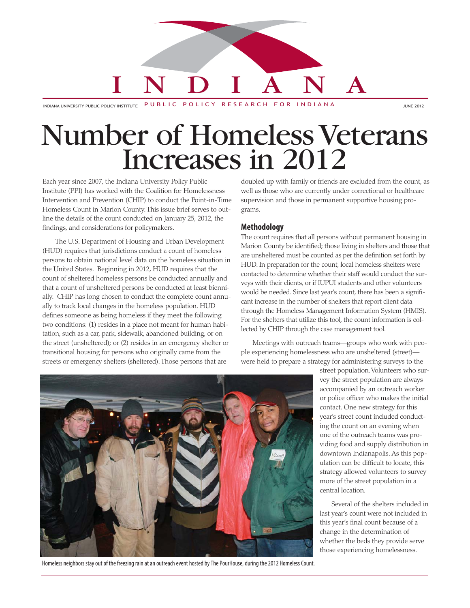# INDIANA

INDIANA UNIVERSITY PUBLIC POLICY INSTITUTE PUBLIC POLICY RESEARCH FOR INDIANA JUNE 2012

## Number of Homeless Veterans Increases in 2012

Each year since 2007, the Indiana University Policy Public Institute (PPI) has worked with the Coalition for Homelessness Intervention and Prevention (CHIP) to conduct the Point-in-Time Homeless Count in Marion County. This issue brief serves to outline the details of the count conducted on January 25, 2012, the findings, and considerations for policymakers.

The U.S. Department of Housing and Urban Development (HUD) requires that jurisdictions conduct a count of homeless persons to obtain national level data on the homeless situation in the United States. Beginning in 2012, HUD requires that the count of sheltered homeless persons be conducted annually and that a count of unsheltered persons be conducted at least biennially. CHIP has long chosen to conduct the complete count annually to track local changes in the homeless population. HUD defines someone as being homeless if they meet the following two conditions: (1) resides in a place not meant for human habitation, such as a car, park, sidewalk, abandoned building, or on the street (unsheltered); or (2) resides in an emergency shelter or transitional housing for persons who originally came from the streets or emergency shelters (sheltered). Those persons that are

doubled up with family or friends are excluded from the count, as well as those who are currently under correctional or healthcare supervision and those in permanent supportive housing programs.

#### **Methodology**

The count requires that all persons without permanent housing in Marion County be identified; those living in shelters and those that are unsheltered must be counted as per the definition set forth by HUD. In preparation for the count, local homeless shelters were contacted to determine whether their staff would conduct the surveys with their clients, or if IUPUI students and other volunteers would be needed. Since last year's count, there has been a significant increase in the number of shelters that report client data through the Homeless Management Information System (HMIS). For the shelters that utilize this tool, the count information is collected by CHIP through the case management tool.

Meetings with outreach teams—groups who work with people experiencing homelessness who are unsheltered (street) were held to prepare a strategy for administering surveys to the



Homeless neighbors stay out of the freezing rain at an outreach event hosted by The PourHouse, during the 2012 Homeless Count.

street population. Volunteers who survey the street population are always accompanied by an outreach worker or police officer who makes the initial contact. One new strategy for this year's street count included conducting the count on an evening when one of the outreach teams was providing food and supply distribution in downtown Indianapolis. As this population can be difficult to locate, this strategy allowed volunteers to survey more of the street population in a central location.

Several of the shelters included in last year's count were not included in this year's final count because of a change in the determination of whether the beds they provide serve those experiencing homelessness.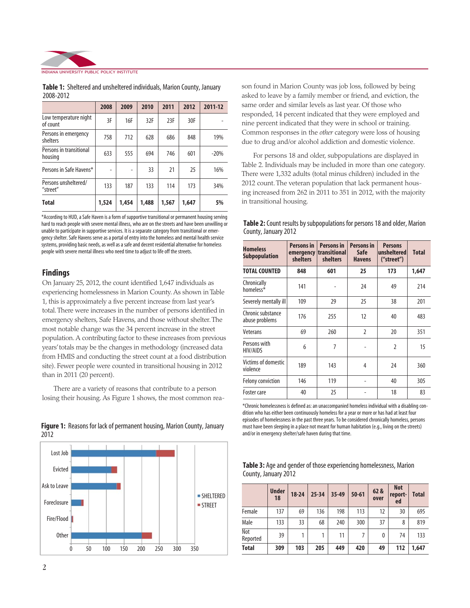

|                                    | 2008  | 2009  | 2010  | 2011  | 2012  | 2011-12 |
|------------------------------------|-------|-------|-------|-------|-------|---------|
| Low temperature night<br>of count  | 3F    | 16F   | 32F   | 23F   | 30F   |         |
| Persons in emergency<br>shelters   | 758   | 712   | 628   | 686   | 848   | 19%     |
| Persons in transitional<br>housing | 633   | 555   | 694   | 746   | 601   | $-20%$  |
| Persons in Safe Havens*            | -     | -     | 33    | 21    | 25    | 16%     |
| Persons unsheltered/<br>"street"   | 133   | 187   | 133   | 114   | 173   | 34%     |
| <b>Total</b>                       | 1,524 | 1,454 | 1,488 | 1,567 | 1,647 | 5%      |

**Table 1:** Sheltered and unsheltered individuals, Marion County, January 2008-2012

\*According to HUD, a Safe Haven is a form of supportive transitional or permanent housing serving hard to reach people with severe mental illness, who are on the streets and have been unwilling or unable to participate in supportive services. It is a separate category from transitional or emergency shelter. Safe Havens serve as a portal of entry into the homeless and mental health service systems, providing basic needs, as well as a safe and decent residential alternative for homeless people with severe mental illness who need time to adjust to life off the streets.

#### **Findings**

On January 25, 2012, the count identified 1,647 individuals as experiencing homelessness in Marion County. As shown in Table 1, this is approximately a five percent increase from last year's total. There were increases in the number of persons identified in emergency shelters, Safe Havens, and those without shelter. The most notable change was the 34 percent increase in the street population. A contributing factor to these increases from previous years' totals may be the changes in methodology (increased data from HMIS and conducting the street count at a food distribution site). Fewer people were counted in transitional housing in 2012 than in 2011 (20 percent).

There are a variety of reasons that contribute to a person losing their housing. As Figure 1 shows, the most common rea-





son found in Marion County was job loss, followed by being asked to leave by a family member or friend, and eviction, the same order and similar levels as last year. Of those who responded, 14 percent indicated that they were employed and nine percent indicated that they were in school or training. Common responses in the *other* category were loss of housing due to drug and/or alcohol addiction and domestic violence.

For persons 18 and older, subpopulations are displayed in Table 2. Individuals may be included in more than one category. There were 1,332 adults (total minus children) included in the 2012 count. The veteran population that lack permanent housing increased from 262 in 2011 to 351 in 2012, with the majority in transitional housing.

| Table 2: Count results by subpopulations for persons 18 and older, Marion |  |
|---------------------------------------------------------------------------|--|
| County, January 2012                                                      |  |

| <b>Homeless</b><br><b>Subpopulation</b> | <b>Persons in</b><br>shelters | <b>Persons in</b><br>emergency transitional<br>shelters | <b>Persons in</b><br>Safe<br><b>Havens</b> | <b>Persons</b><br>unsheltered<br>("street") | <b>Total</b> |
|-----------------------------------------|-------------------------------|---------------------------------------------------------|--------------------------------------------|---------------------------------------------|--------------|
| <b>TOTAL COUNTED</b>                    | 848                           | 601                                                     | 25                                         | 173                                         | 1,647        |
| Chronically<br>homeless*                | 141                           |                                                         | 24                                         | 49                                          | 214          |
| Severely mentally ill                   | 109                           | 29                                                      | 25                                         | 38                                          | 201          |
| Chronic substance<br>abuse problems     | 176                           | 255                                                     | 12                                         | 40                                          | 483          |
| Veterans                                | 69                            | 260                                                     | $\overline{2}$                             | 20                                          | 351          |
| Persons with<br>HIV/AIDS                | 6                             | 7                                                       |                                            | $\overline{2}$                              | 15           |
| Victims of domestic<br>violence         | 189                           | 143                                                     | 4                                          | 24                                          | 360          |
| <b>Felony conviction</b>                | 146                           | 119                                                     |                                            | 40                                          | 305          |
| Foster care                             | 40                            | 25                                                      |                                            | 18                                          | 83           |

\*Chronic homelessness is defined as: an unaccompanied homeless individual with a disabling condition who has either been continuously homeless for a year or more or has had at least four episodes of homelessness in the past three years. To be considered chronically homeless, persons must have been sleeping in a place not meant for human habitation (e.g., living on the streets) and/or in emergency shelter/safe haven during that time.

| Table 3: Age and gender of those experiencing homelessness, Marion |  |
|--------------------------------------------------------------------|--|
| County, January 2012                                               |  |

|                 | <b>Under</b><br>18 | $18 - 24$ | $25 - 34$ | 35-49 | $50 - 61$ | 62 &<br>over | <b>Not</b><br>report-<br>ed | <b>Total</b> |
|-----------------|--------------------|-----------|-----------|-------|-----------|--------------|-----------------------------|--------------|
| Female          | 137                | 69        | 136       | 198   | 113       | 12           | 30                          | 695          |
| Male            | 133                | 33        | 68        | 240   | 300       | 37           | 8                           | 819          |
| Not<br>Reported | 39                 |           |           | 11    |           | 0            | 74                          | 133          |
| <b>Total</b>    | 309                | 103       | 205       | 449   | 420       | 49           | 112                         | 1,647        |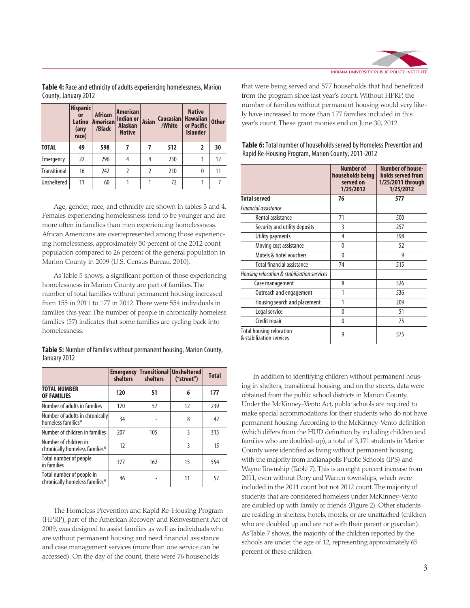

**Table 4:** Race and ethnicity of adults experiencing homelessness, Marion County, January 2012

|                     | <b>Hispanic</b><br>or<br>Latino<br>(any<br>race) | <b>African</b><br>Americanl<br>/Black | <b>American</b><br><b>Indian or</b><br><b>Alaskan</b><br><b>Native</b> | <b>Asian</b>   | <b>Caucasian</b><br>/White | <b>Native</b><br><b>Hawaiian</b><br>or Pacific<br><b>Islander</b> | <b>Other</b> |
|---------------------|--------------------------------------------------|---------------------------------------|------------------------------------------------------------------------|----------------|----------------------------|-------------------------------------------------------------------|--------------|
| <b>TOTAL</b>        | 49                                               | 598                                   | 7                                                                      | 7              | 512                        | 2                                                                 | 30           |
| Emergency           | 22                                               | 296                                   | 4                                                                      | 4              | 230                        |                                                                   | 12           |
| <b>Transitional</b> | 16                                               | 242                                   | 2                                                                      | $\overline{2}$ | 210                        | 0                                                                 | 11           |
| <b>Unsheltered</b>  | 11                                               | 60                                    |                                                                        |                | 72                         |                                                                   |              |

Age, gender, race, and ethnicity are shown in tables 3 and 4. Females experiencing homelessness tend to be younger and are more often in families than men experiencing homelessness. African Americans are overrepresented among those experiencing homelessness, approximately 50 percent of the 2012 count population compared to 26 percent of the general population in Marion County in 2009 (U.S. Census Bureau, 2010).

As Table 5 shows, a significant portion of those experiencing homelessness in Marion County are part of families. The number of total families without permanent housing increased from 155 in 2011 to 177 in 2012. There were 554 individuals in families this year. The number of people in chronically homeless families (57) indicates that some families are cycling back into homelessness.

**Table 5:** Number of families without permanent housing, Marion County, January 2012

|                                                             | shelters | <b>Emergency Transitional</b><br>shelters | <b>Unsheltered</b><br>("street") | <b>Total</b> |
|-------------------------------------------------------------|----------|-------------------------------------------|----------------------------------|--------------|
| <b>TOTAL NUMBER</b><br><b>OF FAMILIES</b>                   | 120      | 51                                        | 6                                | 177          |
| Number of adults in families                                | 170      | 57                                        | 12                               | 239          |
| Number of adults in chronically<br>homeless families*       | 34       |                                           | 8                                | 42           |
| Number of children in families                              | 207      | 105                                       | 3                                | 315          |
| Number of children in<br>chronically homeless families*     | 12       |                                           | 3                                | 15           |
| Total number of people<br>in families                       | 377      | 162                                       | 15                               | 554          |
| Total number of people in<br>chronically homeless families* | 46       |                                           | 11                               | 57           |

The Homeless Prevention and Rapid Re-Housing Program (HPRP), part of the American Recovery and Reinvestment Act of 2009, was designed to assist families as well as individuals who are without permanent housing and need financial assistance and case management services (more than one service can be accessed). On the day of the count, there were 76 households

that were being served and 577 households that had benefitted from the program since last year's count. Without HPRP, the number of families without permanent housing would very likely have increased to more than 177 families included in this year's count. These grant monies end on June 30, 2012.

|                                                             | <b>Number of</b><br>households being<br>served on<br>1/25/2012 | <b>Number of house-</b><br>holds served from<br>1/25/2011 through<br>1/25/2012 |
|-------------------------------------------------------------|----------------------------------------------------------------|--------------------------------------------------------------------------------|
| <b>Total served</b>                                         | 76                                                             | 577                                                                            |
| <b>Financial assistance</b>                                 |                                                                |                                                                                |
| Rental assistance                                           | 71                                                             | 500                                                                            |
| Security and utility deposits                               | 3                                                              | 257                                                                            |
| Utility payments                                            | 4                                                              | 398                                                                            |
| Moving cost assistance                                      | $\Omega$                                                       | 52                                                                             |
| Motels & hotel vouchers                                     | $\Omega$                                                       | 9                                                                              |
| <b>Total financial assistance</b>                           | 74                                                             | 515                                                                            |
| Housing relocation & stabilization services                 |                                                                |                                                                                |
| Case management                                             | 8                                                              | 526                                                                            |
| Outreach and engagement                                     | 1                                                              | 536                                                                            |
| Housing search and placement                                | 1                                                              | 209                                                                            |
| Legal service                                               | $\Omega$                                                       | 51                                                                             |
| Credit repair                                               | $\Omega$                                                       | 75                                                                             |
| <b>Total housing relocation</b><br>& stabilization services | 9                                                              | 575                                                                            |

**Table 6:** Total number of households served by Homeless Prevention and Rapid Re-Housing Program, Marion County, 2011-2012

In addition to identifying children without permanent housing in shelters, transitional housing, and on the streets, data were obtained from the public school districts in Marion County. Under the McKinney-Vento Act, public schools are required to make special accommodations for their students who do not have permanent housing. According to the McKinney-Vento definition (which differs from the HUD definition by including children and families who are doubled-up), a total of 3,171 students in Marion County were identified as living without permanent housing, with the majority from Indianapolis Public Schools (IPS) and Wayne Township (Table 7). This is an eight percent increase from 2011, even without Perry and Warren townships, which were included in the 2011 count but not 2012 count. The majority of students that are considered homeless under McKinney-Vento are doubled up with family or friends (Figure 2). Other students are residing in shelters, hotels, motels, or are unattached (children who are doubled up and are not with their parent or guardian). As Table 7 shows, the majority of the children reported by the schools are under the age of 12, representing approximately 65 percent of these children.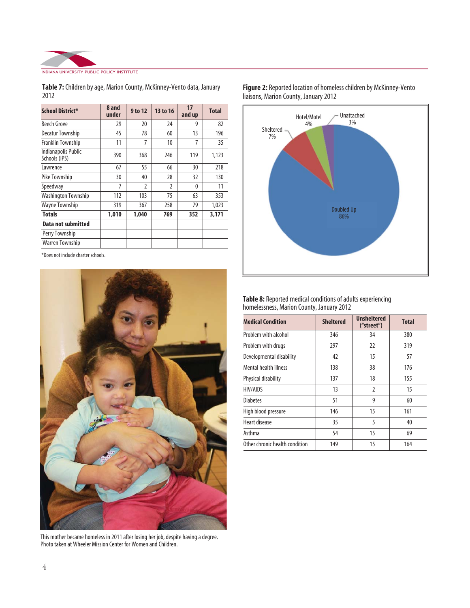

| Table 7: Children by age, Marion County, McKinney-Vento data, January |  |
|-----------------------------------------------------------------------|--|
| 2012                                                                  |  |

| <b>School District*</b>              | 8 and<br>under | 9 to 12        | 13 to 16       | 17<br>and up | <b>Total</b> |
|--------------------------------------|----------------|----------------|----------------|--------------|--------------|
| Beech Grove                          | 29             | 20             | 24             | 9            | 82           |
| Decatur Township                     | 45             | 78             | 60             | 13           | 196          |
| Franklin Township                    | 11             | 7              | 10             | 7            | 35           |
| Indianapolis Public<br>Schools (IPS) | 390            | 368            | 246            | 119          | 1,123        |
| Lawrence                             | 67             | 55             | 66             | 30           | 218          |
| Pike Township                        | 30             | 40             | 28             | 32           | 130          |
| Speedway                             | 7              | $\overline{2}$ | $\overline{2}$ | $\theta$     | 11           |
| <b>Washington Township</b>           | 112            | 103            | 75             | 63           | 353          |
| <b>Wayne Township</b>                | 319            | 367            | 258            | 79           | 1,023        |
| <b>Totals</b>                        | 1,010          | 1,040          | 769            | 352          | 3,171        |
| Data not submitted                   |                |                |                |              |              |
| Perry Township                       |                |                |                |              |              |
| <b>Warren Township</b>               |                |                |                |              |              |

\*Does not include charter schools.



This mother became homeless in 2011 after losing her job, despite having a degree. Photo taken at Wheeler Mission Center for Women and Children.



#### **Figure 2:** Reported location of homeless children by McKinney-Vento liaisons, Marion County, January 2012

**Table 8:** Reported medical conditions of adults experiencing homelessness, Marion County, January 2012

| <b>Medical Condition</b>       | <b>Sheltered</b> | <b>Unsheltered</b><br>("street") | <b>Total</b> |
|--------------------------------|------------------|----------------------------------|--------------|
| Problem with alcohol           | 346              | 34                               | 380          |
| Problem with drugs             | 297              | 22                               | 319          |
| Developmental disability       | 42               | 15                               | 57           |
| Mental health illness          | 138              | 38                               | 176          |
| Physical disability            | 137              | 18                               | 155          |
| <b>HIV/AIDS</b>                | 13               | $\mathfrak z$                    | 15           |
| <b>Diabetes</b>                | 51               | 9                                | 60           |
| High blood pressure            | 146              | 15                               | 161          |
| Heart disease                  | 35               | 5                                | 40           |
| Asthma                         | 54               | 15                               | 69           |
| Other chronic health condition | 149              | 15                               | 164          |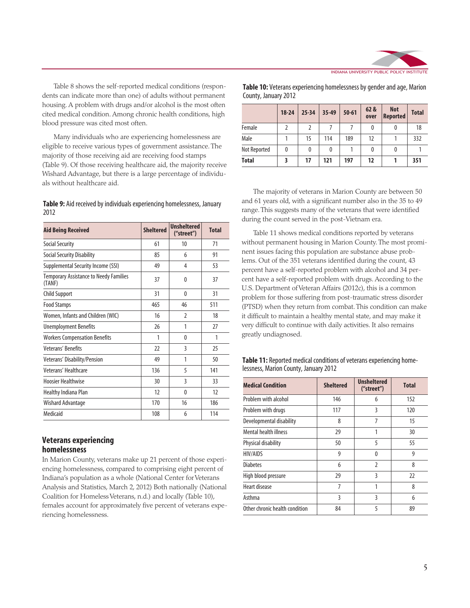

Table 8 shows the self-reported medical conditions (respondents can indicate more than one) of adults without permanent housing. A problem with drugs and/or alcohol is the most often cited medical condition. Among chronic health conditions, high blood pressure was cited most often.

Many individuals who are experiencing homelessness are eligible to receive various types of government assistance. The majority of those receiving aid are receiving food stamps (Table 9). Of those receiving healthcare aid, the majority receive Wishard Advantage, but there is a large percentage of individuals without healthcare aid.

#### **Table 9:** Aid received by individuals experiencing homelessness, January 2012

| 71<br><b>Social Security</b><br>61<br>10<br>Social Security Disability<br>85<br>6<br>91<br>Supplemental Security Income (SSI)<br>53<br>49<br>4<br><b>Temporary Assistance to Needy Families</b><br>37<br>37<br>0<br>(TANF)<br>31<br><b>Child Support</b><br>31<br>0<br>46<br>511<br><b>Food Stamps</b><br>465<br>$\overline{2}$<br>Women, Infants and Children (WIC)<br>16<br>18<br>1<br>27<br><b>Unemployment Benefits</b><br>26<br>1<br>1<br><b>Workers Compensation Benefits</b><br>0 | <b>Sheltered</b> | ("street") | <b>Total</b> |
|------------------------------------------------------------------------------------------------------------------------------------------------------------------------------------------------------------------------------------------------------------------------------------------------------------------------------------------------------------------------------------------------------------------------------------------------------------------------------------------|------------------|------------|--------------|
|                                                                                                                                                                                                                                                                                                                                                                                                                                                                                          |                  |            |              |
|                                                                                                                                                                                                                                                                                                                                                                                                                                                                                          |                  |            |              |
|                                                                                                                                                                                                                                                                                                                                                                                                                                                                                          |                  |            |              |
|                                                                                                                                                                                                                                                                                                                                                                                                                                                                                          |                  |            |              |
|                                                                                                                                                                                                                                                                                                                                                                                                                                                                                          |                  |            |              |
|                                                                                                                                                                                                                                                                                                                                                                                                                                                                                          |                  |            |              |
|                                                                                                                                                                                                                                                                                                                                                                                                                                                                                          |                  |            |              |
|                                                                                                                                                                                                                                                                                                                                                                                                                                                                                          |                  |            |              |
|                                                                                                                                                                                                                                                                                                                                                                                                                                                                                          |                  |            |              |
| Veterans' Benefits<br>3<br>22<br>25                                                                                                                                                                                                                                                                                                                                                                                                                                                      |                  |            |              |
| Veterans' Disability/Pension<br>49<br>1<br>50                                                                                                                                                                                                                                                                                                                                                                                                                                            |                  |            |              |
| Veterans' Healthcare<br>5<br>136<br>141                                                                                                                                                                                                                                                                                                                                                                                                                                                  |                  |            |              |
| <b>Hoosier Healthwise</b><br>3<br>30<br>33                                                                                                                                                                                                                                                                                                                                                                                                                                               |                  |            |              |
| 12<br>12<br>Healthy Indiana Plan<br>$\theta$                                                                                                                                                                                                                                                                                                                                                                                                                                             |                  |            |              |
| 170<br>16<br>186<br>Wishard Advantage                                                                                                                                                                                                                                                                                                                                                                                                                                                    |                  |            |              |
| Medicaid<br>6<br>108<br>114                                                                                                                                                                                                                                                                                                                                                                                                                                                              |                  |            |              |

#### **Veterans experiencing homelessness**

In Marion County, veterans make up 21 percent of those experiencing homelessness, compared to comprising eight percent of Indiana's population as a whole (National Center for Veterans Analysis and Statistics, March 2, 2012) Both nationally (National Coalition for Homeless Veterans, n.d.) and locally (Table 10), females account for approximately five percent of veterans experiencing homelessness.

| Table 10: Veterans experiencing homelessness by gender and age, Marion |  |
|------------------------------------------------------------------------|--|
| County, January 2012                                                   |  |

|              | $18 - 24$ | $25 - 34$ | 35-49 | $50 - 61$ | 62 &<br>over | <b>Not</b><br><b>Reported</b> | <b>Total</b> |
|--------------|-----------|-----------|-------|-----------|--------------|-------------------------------|--------------|
| Female       | 2         | 2         |       |           | 0            | 0                             | 18           |
| Male         |           | 15        | 114   | 189       | 12           |                               | 332          |
| Not Reported | 0         | 0         | 0     |           | 0            | 0                             |              |
| <b>Total</b> | 3         | 17        | 121   | 197       | 12           |                               | 351          |

The majority of veterans in Marion County are between 50 and 61 years old, with a significant number also in the 35 to 49 range. This suggests many of the veterans that were identified during the count served in the post-Vietnam era.

Table 11 shows medical conditions reported by veterans without permanent housing in Marion County. The most prominent issues facing this population are substance abuse problems. Out of the 351 veterans identified during the count, 43 percent have a self-reported problem with alcohol and 34 percent have a self-reported problem with drugs. According to the U.S. Department of Veteran Affairs (2012c), this is a common problem for those suffering from post-traumatic stress disorder (PTSD) when they return from combat. This condition can make it difficult to maintain a healthy mental state, and may make it very difficult to continue with daily activities. It also remains greatly undiagnosed.

| Table 11: Reported medical conditions of veterans experiencing home- |  |
|----------------------------------------------------------------------|--|
| lessness, Marion County, January 2012                                |  |

| <b>Medical Condition</b>       | <b>Sheltered</b> | <b>Unsheltered</b><br>("street") | <b>Total</b> |  |
|--------------------------------|------------------|----------------------------------|--------------|--|
| Problem with alcohol           | 146              | 6                                | 152          |  |
| Problem with drugs             | 117              | 3                                | 120          |  |
| Developmental disability       | 8                | 7                                | 15           |  |
| Mental health illness          | 29               | 1                                | 30           |  |
| Physical disability            | 50               | 5                                | 55           |  |
| HIV/AIDS                       | 9                | $\theta$                         | 9            |  |
| <b>Diabetes</b>                | 6                | $\overline{2}$                   | 8            |  |
| High blood pressure            | 29               | 3                                | 22           |  |
| Heart disease                  | 7                | 1                                | 8            |  |
| Asthma                         | 3                | 3                                | 6            |  |
| Other chronic health condition | 84               | 5                                | 89           |  |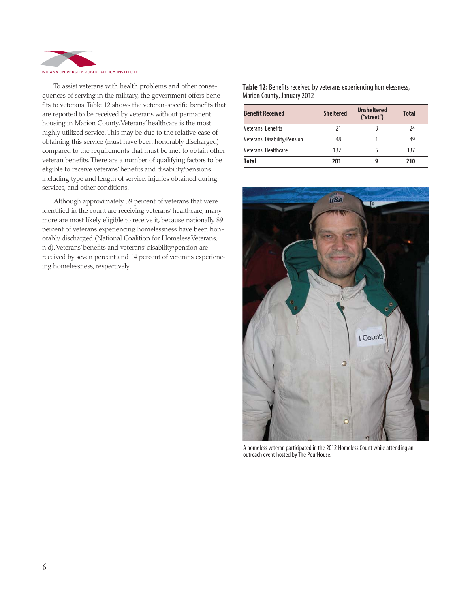

To assist veterans with health problems and other consequences of serving in the military, the government offers benefits to veterans. Table 12 shows the veteran-specific benefits that are reported to be received by veterans without permanent housing in Marion County. Veterans' healthcare is the most highly utilized service. This may be due to the relative ease of obtaining this service (must have been honorably discharged) compared to the requirements that must be met to obtain other veteran benefits. There are a number of qualifying factors to be eligible to receive veterans' benefits and disability/pensions including type and length of service, injuries obtained during services, and other conditions.

Although approximately 39 percent of veterans that were identified in the count are receiving veterans' healthcare, many more are most likely eligible to receive it, because nationally 89 percent of veterans experiencing homelessness have been honorably discharged (National Coalition for Homeless Veterans, n.d). Veterans' benefits and veterans' disability/pension are received by seven percent and 14 percent of veterans experiencing homelessness, respectively.

**Table 12:** Benefits received by veterans experiencing homelessness, Marion County, January 2012

| <b>Benefit Received</b>      | <b>Sheltered</b> | <b>Unsheltered</b><br>("street") | <b>Total</b> |
|------------------------------|------------------|----------------------------------|--------------|
| Veterans' Benefits           | 21               |                                  | 24           |
| Veterans' Disability/Pension | 48               |                                  | 49           |
| Veterans' Healthcare         | 132              |                                  | 137          |
| <b>Total</b>                 | 201              |                                  | 210          |



A homeless veteran participated in the 2012 Homeless Count while attending an outreach event hosted by The PourHouse.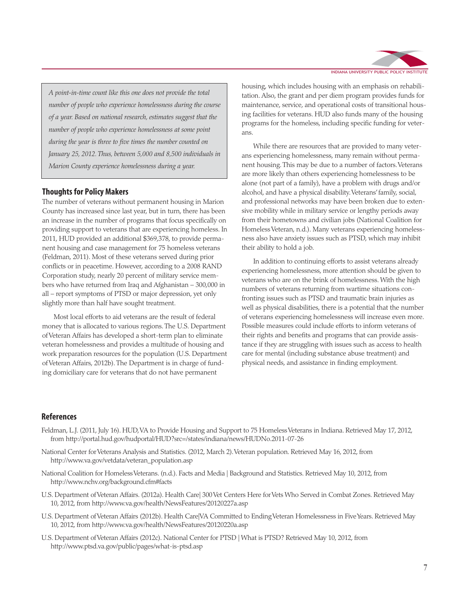

*A point-in-time count like this one does not provide the total number of people who experience homelessness during the course of a year. Based on national research, estimates suggest that the number of people who experience homelessness at some point during the year is three to five times the number counted on January 25, 2012. Thus, between 5,000 and 8,500 individuals in Marion County experience homelessness during a year.*

#### **Thoughts for Policy Makers**

The number of veterans without permanent housing in Marion County has increased since last year, but in turn, there has been an increase in the number of programs that focus specifically on providing support to veterans that are experiencing homeless. In 2011, HUD provided an additional \$369,378, to provide permanent housing and case management for 75 homeless veterans (Feldman, 2011). Most of these veterans served during prior conflicts or in peacetime. However, according to a 2008 RAND Corporation study, nearly 20 percent of military service members who have returned from Iraq and Afghanistan – 300,000 in all – report symptoms of PTSD or major depression, yet only slightly more than half have sought treatment.

Most local efforts to aid veterans are the result of federal money that is allocated to various regions. The U.S. Department of Veteran Affairs has developed a short-term plan to eliminate veteran homelessness and provides a multitude of housing and work preparation resources for the population (U.S. Department of Veteran Affairs, 2012b). The Department is in charge of funding domiciliary care for veterans that do not have permanent

housing, which includes housing with an emphasis on rehabilitation. Also, the grant and per diem program provides funds for maintenance, service, and operational costs of transitional housing facilities for veterans. HUD also funds many of the housing programs for the homeless, including specific funding for veterans.

While there are resources that are provided to many veterans experiencing homelessness, many remain without permanent housing. This may be due to a number of factors. Veterans are more likely than others experiencing homelessness to be alone (not part of a family), have a problem with drugs and/or alcohol, and have a physical disability. Veterans' family, social, and professional networks may have been broken due to extensive mobility while in military service or lengthy periods away from their hometowns and civilian jobs (National Coalition for Homeless Veteran, n.d.). Many veterans experiencing homelessness also have anxiety issues such as PTSD, which may inhibit their ability to hold a job.

In addition to continuing efforts to assist veterans already experiencing homelessness, more attention should be given to veterans who are on the brink of homelessness. With the high numbers of veterans returning from wartime situations confronting issues such as PTSD and traumatic brain injuries as well as physical disabilities, there is a potential that the number of veterans experiencing homelessness will increase even more. Possible measures could include efforts to inform veterans of their rights and benefits and programs that can provide assistance if they are struggling with issues such as access to health care for mental (including substance abuse treatment) and physical needs, and assistance in finding employment.

#### **References**

- Feldman, L.J. (2011, July 16). HUD, VA to Provide Housing and Support to 75 Homeless Veterans in Indiana. Retrieved May 17, 2012, from http://portal.hud.gov/hudportal/HUD?src=/states/indiana/news/HUDNo.2011-07-26
- National Center for Veterans Analysis and Statistics. (2012, March 2). Veteran population. Retrieved May 16, 2012, from http://www.va.gov/vetdata/veteran\_population.asp
- National Coalition for Homeless Veterans. (n.d.). Facts and Media | Background and Statistics. Retrieved May 10, 2012, from http://www.nchv.org/background.cfm#facts
- U.S. Department of Veteran Affairs. (2012a). Health Care| 300 Vet Centers Here for Vets Who Served in Combat Zones. Retrieved May 10, 2012, from http://www.va.gov/health/NewsFeatures/20120227a.asp
- U.S. Department of Veteran Affairs (2012b). Health Care|VA Committed to Ending Veteran Homelessness in Five Years. Retrieved May 10, 2012, from http://www.va.gov/health/NewsFeatures/20120220a.asp
- U.S. Department of Veteran Affairs (2012c). National Center for PTSD | What is PTSD? Retrieved May 10, 2012, from http://www.ptsd.va.gov/public/pages/what-is-ptsd.asp